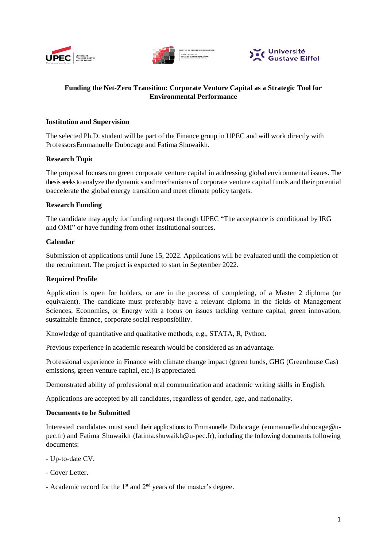





# **Funding the Net-Zero Transition: Corporate Venture Capital as a Strategic Tool for Environmental Performance**

## **Institution and Supervision**

The selected Ph.D. student will be part of the Finance group in UPEC and will work directly with Professors Emmanuelle Dubocage and Fatima Shuwaikh.

### **Research Topic**

The proposal focuses on green corporate venture capital in addressing global environmental issues. The thesis seeksto analyze the dynamics and mechanisms of corporate venture capital funds and their potential toaccelerate the global energy transition and meet climate policy targets.

## **Research Funding**

The candidate may apply for funding request through UPEC "The acceptance is conditional by IRG and OMI" or have funding from other institutional sources.

### **Calendar**

Submission of applications until June 15, 2022. Applications will be evaluated until the completion of the recruitment. The project is expected to start in September 2022.

#### **Required Profile**

Application is open for holders, or are in the process of completing, of a Master 2 diploma (or equivalent). The candidate must preferably have a relevant diploma in the fields of Management Sciences, Economics, or Energy with a focus on issues tackling venture capital, green innovation, sustainable finance, corporate social responsibility.

Knowledge of quantitative and qualitative methods, e.g., STATA, R, Python.

Previous experience in academic research would be considered as an advantage.

Professional experience in Finance with climate change impact (green funds, GHG (Greenhouse Gas) emissions, green venture capital, etc.) is appreciated.

Demonstrated ability of professional oral communication and academic writing skills in English.

Applications are accepted by all candidates, regardless of gender, age, and nationality.

#### **Documents to be Submitted**

Interested candidates must send their applications to Emmanuelle Dubocage (emmanuelle.dubocage@upec.fr) and Fatima Shuwaikh [\(fatima.shuwaikh@u-pec.fr\)](mailto:fatima.shuwaikh@u-pec.fr), including the following documents following documents:

- Up-to-date CV.
- Cover Letter.
- Academic record for the 1<sup>st</sup> and 2<sup>nd</sup> years of the master's degree.